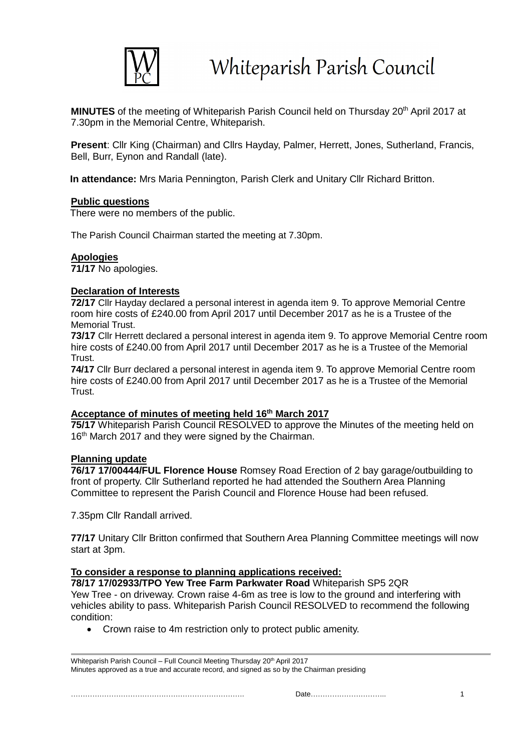

**MINUTES** of the meeting of Whiteparish Parish Council held on Thursday 20<sup>th</sup> April 2017 at 7.30pm in the Memorial Centre, Whiteparish.

**Present**: Cllr King (Chairman) and Cllrs Hayday, Palmer, Herrett, Jones, Sutherland, Francis, Bell, Burr, Eynon and Randall (late).

**In attendance:** Mrs Maria Pennington, Parish Clerk and Unitary Cllr Richard Britton.

## **Public questions**

There were no members of the public.

The Parish Council Chairman started the meeting at 7.30pm.

# **Apologies**

**71/17** No apologies.

## **Declaration of Interests**

**72/17** Cllr Hayday declared a personal interest in agenda item 9. To approve Memorial Centre room hire costs of £240.00 from April 2017 until December 2017 as he is a Trustee of the Memorial Trust.

**73/17** Cllr Herrett declared a personal interest in agenda item 9. To approve Memorial Centre room hire costs of £240.00 from April 2017 until December 2017 as he is a Trustee of the Memorial **Trust.** 

**74/17** Cllr Burr declared a personal interest in agenda item 9. To approve Memorial Centre room hire costs of £240.00 from April 2017 until December 2017 as he is a Trustee of the Memorial **Trust** 

## **Acceptance of minutes of meeting held 16 th March 2017**

**75/17** Whiteparish Parish Council RESOLVED to approve the Minutes of the meeting held on 16<sup>th</sup> March 2017 and they were signed by the Chairman.

## **Planning update**

**76/17 17/00444/FUL Florence House** Romsey Road Erection of 2 bay garage/outbuilding to front of property. Cllr Sutherland reported he had attended the Southern Area Planning Committee to represent the Parish Council and Florence House had been refused.

7.35pm Cllr Randall arrived.

**77/17** Unitary Cllr Britton confirmed that Southern Area Planning Committee meetings will now start at 3pm.

#### **To consider a response to planning applications received:**

**78/17 17/02933/TPO Yew Tree Farm Parkwater Road** Whiteparish SP5 2QR Yew Tree - on driveway. Crown raise 4-6m as tree is low to the ground and interfering with vehicles ability to pass. Whiteparish Parish Council RESOLVED to recommend the following condition:

• Crown raise to 4m restriction only to protect public amenity.

| Whiteparish Parish Council – Full Council Meeting Thursday 20 <sup>th</sup> April 2017     |  |
|--------------------------------------------------------------------------------------------|--|
| Minutes approved as a true and accurate record, and signed as so by the Chairman presiding |  |

………………………………………………………………. Date………………………….. 1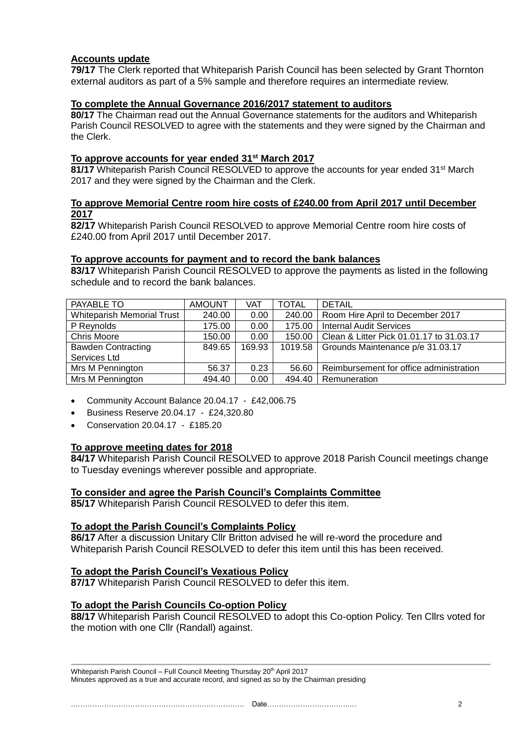## **Accounts update**

**79/17** The Clerk reported that Whiteparish Parish Council has been selected by Grant Thornton external auditors as part of a 5% sample and therefore requires an intermediate review.

## **To complete the Annual Governance 2016/2017 statement to auditors**

**80/17** The Chairman read out the Annual Governance statements for the auditors and Whiteparish Parish Council RESOLVED to agree with the statements and they were signed by the Chairman and the Clerk.

## **To approve accounts for year ended 31st March 2017**

81/17 Whiteparish Parish Council RESOLVED to approve the accounts for year ended 31<sup>st</sup> March 2017 and they were signed by the Chairman and the Clerk.

## **To approve Memorial Centre room hire costs of £240.00 from April 2017 until December 2017**

**82/17** Whiteparish Parish Council RESOLVED to approve Memorial Centre room hire costs of £240.00 from April 2017 until December 2017.

## **To approve accounts for payment and to record the bank balances**

**83/17** Whiteparish Parish Council RESOLVED to approve the payments as listed in the following schedule and to record the bank balances.

| PAYABLE TO                        | <b>AMOUNT</b> | VAT    | <b>TOTAL</b> | <b>DETAIL</b>                            |
|-----------------------------------|---------------|--------|--------------|------------------------------------------|
| <b>Whiteparish Memorial Trust</b> | 240.00        | 0.00   | 240.00       | Room Hire April to December 2017         |
| P Reynolds                        | 175.00        | 0.00   | 175.00       | <b>Internal Audit Services</b>           |
| <b>Chris Moore</b>                | 150.00        | 0.00   | 150.00       | Clean & Litter Pick 01.01.17 to 31.03.17 |
| <b>Bawden Contracting</b>         | 849.65        | 169.93 | 1019.58      | Grounds Maintenance p/e 31.03.17         |
| Services Ltd                      |               |        |              |                                          |
| Mrs M Pennington                  | 56.37         | 0.23   | 56.60        | Reimbursement for office administration  |
| Mrs M Pennington                  | 494.40        | 0.00   | 494.40       | Remuneration                             |

- Community Account Balance 20.04.17 £42,006.75
- Business Reserve 20.04.17 £24,320.80
- Conservation 20.04.17 £185.20

## **To approve meeting dates for 2018**

**84/17** Whiteparish Parish Council RESOLVED to approve 2018 Parish Council meetings change to Tuesday evenings wherever possible and appropriate.

## **To consider and agree the Parish Council's Complaints Committee**

**85/17** Whiteparish Parish Council RESOLVED to defer this item.

## **To adopt the Parish Council's Complaints Policy**

**86/17** After a discussion Unitary Cllr Britton advised he will re-word the procedure and Whiteparish Parish Council RESOLVED to defer this item until this has been received.

## **To adopt the Parish Council's Vexatious Policy**

**87/17** Whiteparish Parish Council RESOLVED to defer this item.

## **To adopt the Parish Councils Co-option Policy**

**88/17** Whiteparish Parish Council RESOLVED to adopt this Co-option Policy. Ten Cllrs voted for the motion with one Cllr (Randall) against.

Whiteparish Parish Council – Full Council Meeting Thursday 20<sup>th</sup> April 2017 Minutes approved as a true and accurate record, and signed as so by the Chairman presiding